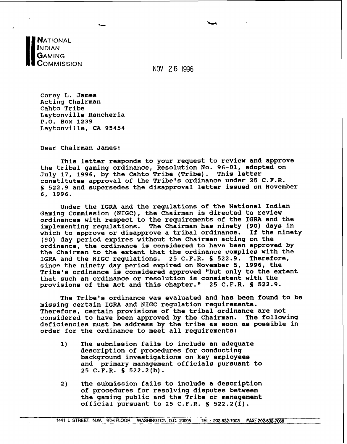**NATIONAL NDIAN** GAMING COMMISSION

NOV 2 **6** 1996

**Corey L. James Acting Chairman Cahto Tribe Laytonville Rancheria P.O. Box 1239 Laytonville, CA 95454** 

**Dear Chairman James:** 

**This letter responds to your request to review and approve the tribal gaming ordinance, Resolution No. 96-01, adopted on**  July 17, 1996, by the Cahto Tribe (Tribe). **constitutes approval of the Tribe's ordinance under 25 C.F.R. S 522.9 and supersedes the disapproval letter issued on November 6, 1996.** 

Under the IGRA and the regulations of the National Indian Gaming Commission (NIGC), the Chairman is directed to review **ordinances with respect to the requirements of the IGRA and the implementing regulations. The Chairman has ninety (90) days in**  which to approve or disapprove a tribal ordinance. **(90) day period expires without the Chairman acting on the ordinance, the ordinance is considered to have been approved by the Chairman to the extent that the ordinance complies with the**  IGRA and the NIGC regulations. 25 C.F.R. § 522.9. **since the ninety day period expired on November 5, 1996, the Tribe's ordinance is considered approved "but only to the extent that such an ordinance or resolution is consistent with the provisions of the Act and this chapter." 25 C.F.R. S 522.9.** 

**The Tribe's ordinance was evaluated and has been found to be missing certain IGRA and NIGC regulation requirements. Therefore, certain provisions of the tribal ordinance are not considered to have been approved by the Chairman. The following deficiencies must be address by the tribe as soon as possible in order for the ordinance to meet all requirements:** 

- **1) The submission fails to include an adequate description of procedures for conducting background investigations on key employees and primary management officials pursuant to 25 C.F.R. S 522.2(b).**
- **2) The submission fails to include a description of procedures for resolving disputes between the gaming public and the Tribe or management official pursuant to 25 C.F.R. S 522.2(f).**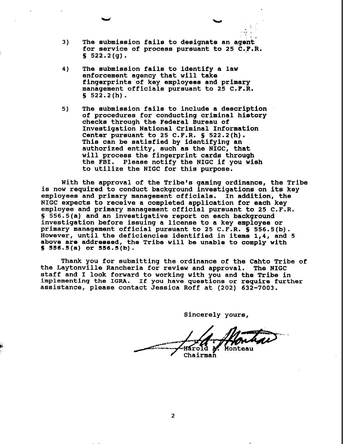**I1 3) The submission fails to designate an agent for service of process pursuant to 25 C.F.R. S 522.2(g).** 

 $\zeta$ **4,** , . . **I..** ,

- **4) The submission fails to identify a law enforcement agency that will take fingerprints'of key employees and primary management officials pursuant to 25 C.F.R. S 522.2(h).**
- **5) The submission fails to include a description of procedures for conducting criminal history checks through the Federal Bureau of Investigation National Criminal Information Center pursuant to 25 C.F.R. S 522.2(h). This can be satisfied by identifying an authorized entity, such as the NIGC, that will process the fingerprint cards through the FBI. Please notify the NIGC if you wish to utilize the NIGC for this purpose.**

**With the approval of the Tribe's gaming ordinance, the Tribe is now required to conduct background investigations on its key employees and primary management officials. In addition, the NIGC expects to receive a completed application for each key employee and primary management official pursuant to 25 C.F.R. S 556.5(a) and an investigative report on each background investigation before issuing a license to a key employee or primary management official pursuant to 25 C.F.R. S 556.5(b). However, until the deficiencies identified in items 1,4, and 5 above are addressed, the Tribe will be unable to comply with S 556.5 (a) or 5B6.5 (b)** .

**Thank you for submitting the ordinance of the Cahto Tribe of the Laytonville Rancheria for review and approval. The NIGC staff and I look forward to working with you and the Tribe in implementing the IGRA. If you have questions or require further assistance, please contact Jessica Roff at (202) 632-7003.** 

**Sincerely yours,** 

Monteau Chairman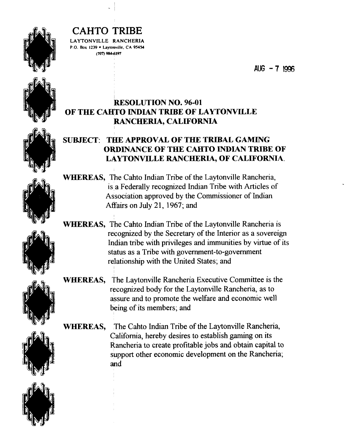

**LAYTONVILLE RANCHERIA P.O. Box 1239 · Laytonville, CA 95454 (707) MI97** 

AUG  $-7$  1996

#### **RESOLUTION NO. 96-01 OF THE CAHTO INDIAN TRIBE OF LAYTONVILLE RANCHERIA, CALIFORNIA**

#### **SUBJECT: THE APPROVAL OF THE TRIBAL GAMING ORDINANCE OF THE CAaTO INDIAN TRJBE OF LAYTONVILLE RANCHERIA, OF CALIFORNIA.**

**WHEREAS, The Cahto Indian Tribe of the Laytonville Rancheria,** is a Federally recognized Indian Tribe with Articles of Association approved by the Commissioner of Indian Affairs on July 21, 1967; and

**WHEREAS,** The Cahto Indian Tribe of the Laytonville Rancheria is recognized by the Secretary of the Interior as a sovereign Indian tribe with privileges and immunities by virtue of its status as a Tribe with government-to-government relationship with the United States; and

**WHEREAS,** The Laytonville Rancheria Executive Committee is the recognized body for the Laytonville Rancheria, as to assure and to promote the welfare and economic well being of its members; and

**WHEREAS,** The Cahto Indian Tribe of the Laytonville Rancheria, California, hereby desires to establish gaming on its Rancheria to create profitable jobs and obtain capital to support other economic development on the Rancheria; and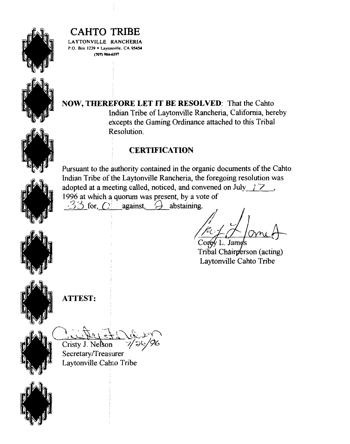

**LAYTONVlLLE RANCHERIA P.O. Box 1239 • Laytonville. CA 95454 (707) 984-6191** 

**NOW, THEREFORE LET IT BE RESOLVED:** That the Cahto Indian Tribe of Laytonville Rancheria, California, hereby excepts the Gaming Ordinance attached to this Tribal Resolution.

#### <sup>1</sup>**CERTIFICATION**

Pursuant to the authority contained in the organic documents of the Cahto Indian Tribe of the Laytonville Rancheria, the foregoing resolution was adopted at a meeting called, noticed, and convened on July  $\frac{17}{2}$ , 1996 at which a quorum was present, by a vote of  $-33$  for,  $\bigcirc$  against,  $\bigcirc$  abstaining.

VI. Jamd Tribal Chairperson (acting) <sup>I</sup>Laytonville Cahto Tribe

**ATTEST:** <sup>I</sup>

A<br>C<u>i. 4 p + 1 d</u> Cristy J. Nelson

I

Secretary/Treasurer Laytonville Cahto Tribe

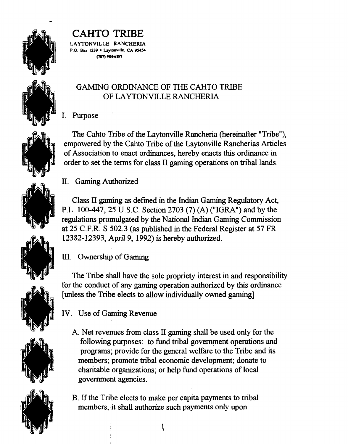

LAYTONVILLE RANCHERIA **P.O. Box** 1239 **Laytonville. CA 99% tmn 984-6197** 

#### GAMING ORDINANCE OF THE CAHTO TRIBE OF LAYTONVILLE RANCHERIA

I. Purpose

The Cahto Tribe of the Laytonville Rancheria (hereinafter "Tribe"), empowered by the Cahto Tribe of the Laytonville Rancherias Articles of Association to enact ordinances, hereby enacts this ordinance in order to set the terms for class **II** gaming operations on tribal lands.

### II. Gaming Authorized

Class **II** gaming as defined in the Indlan Gaming Regulatory Act, P.L. 100-447,25 U.S.C. Section 2703 (7) (A) ("IGRA") and by the regulations promulgated by the National Indian Gaming Commission at 25 C.F.R. S 502.3 (as published in the Federal Register at 57 FR 12382-12393, April 9, 1992) is hereby authorized.

### **III.** Ownership of Gaming

The Tribe shall have the sole propriety interest in and responsibility for the conduct of any gaming operation authorized by this ordinance [unless the Tribe elects to allow individually owned gaming]

IV. Use of Gaming Revenue

- A. Net revenues from class 11 gaming shall be used only for the following purposes: to fund tribal government operations and programs; provide for the general welfare to the Tribe and its members; promote tribal economic development; donate to charitable organizations; or help fund operations of local government agencies.
- B. If the Tribe elects to make per capita payments to tribal members, it shall authorize such payments only upon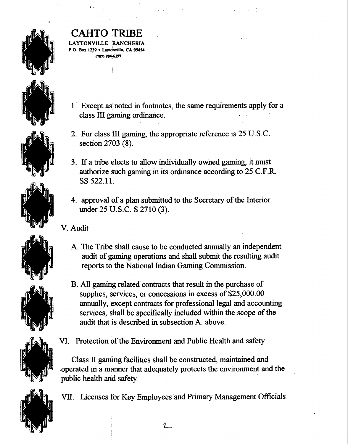

# **CO TRIBE**

TONVILLE RANCHERIA **P.O. Box 1239 · Laytonville. CA 95454 tmn 9~197** 

- 1. Except as noted in footnotes, the same requirements apply for a class **III** gaming ordinance.
- 2. For class III gaming, the appropriate reference is 25 U.S.C. section 2703 (8).
- 3. If a tribe elects to allow individually owned gaming, it must authorize such gaming in its ordinance according to 25 C.F.R. SS 522.11.
- 4. approval of a plan submitted to the Secretary of the Interior under 25 U.S.C. S 2710 (3).
- **V. Audit** 
	- A. The Tribe shall cause to be conducted annually an independent audit of gaming operations and shall submit the resulting audit reports to the National Indian Gaming Commission.
	- B. **AU** gaming related contracts that result in the purchase of supplies, services, or concessions in excess of \$25,000.00 annually, except contracts for professional legal and accounting services, shall be specifically included within the scope of the audit that is described in subsection A. above.
- 
- 
- VI. Protection of the Environment and Public Health and safety

Class 11 gaming facilities shall be constructed, maintained and operated in a manner that adequately protects the environment and the public health and safety.

VII. Licenses for Key Employees and Primary Management Officials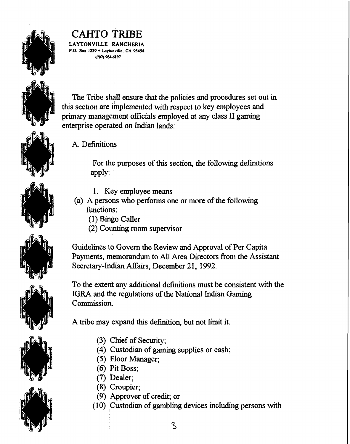

LAYTONVILLE RANCHERIA **P.O. Box 1239 hylonville. CA 9S4S**  (rn **98+6M** 

The Tribe shall ensure that the policies and procedures set out in this section are implemented with respect to key employees and primary management officials employed at any class **II** gaming enterprise operated on Indian lands:

A. Definitions

For the purposes of this section, the following definitions apply:

- 1. Key employee means
- (a) A persons who performs one or more of the following functions:
	- (1) Bingo Caller
	- (2) Counting room supervisor

Guidelines to Govern the Review and Approval of Per Capita Payments, memorandum to All Area Directors from the Assistant Secretary-Indian Affairs, December 21, 1992.

To the extent any additional definitions must be consistent with the IGRA and the regulations of the National Indian Gaming Commission.

A tribe may expand this definition, but not limit it.

- (3) Chief of Security;
- (4) Custodian of gaming supplies or cash;
- (5) Floor Manager;
- (6) Pit Boss;
- (7) Dealer;
- (8) Croupier;
- (9) Approver of credit; or
- (1 0) Custodian of gambling devices including persons with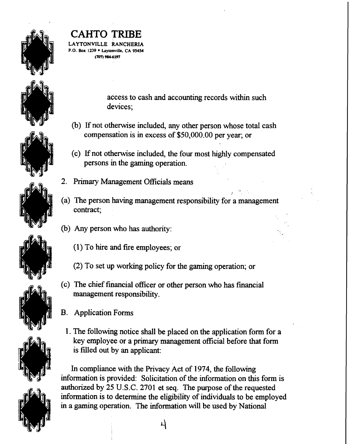

LAYTONVILLE RANCHERIA **P.O. Box** 1239 **Lay~onville. CA 9S4S4 tW 9846197** 

> access to cash and accounting records within such devices;

- (b) If not otherwise included, any other person whose total cash compensation is in excess of \$50,000.00 per year; or
- (c) **Lf** not otherwise included, the four most highly compensated persons in the gaming operation.
- 2. Primary Management Officials means
- $\mathcal{L} \subset \mathbb{R}^{n \times n}$ (a) The person having management responsibility for a management contract;
- (b) Any person who has authority:
	- $(1)$  To hire and fire employees; or
	- (2) To set up working policy for the gaming operation; or
- (c) The chief financial officer or other person who has financial management responsibility.
- B. Application Forms
	- 1. The following notice shall be placed on the application form for a key employee or a primary management official before that form is filled out by an applicant:

In compliance with the Privacy Act of 1974, the following information is provided: Solicitation of the information on this form is authorized by 25 U.S.C. 2701 et seq. The purpose of the requested information is to determine the eligibility of individuals to be employed in a gaming operation. The information will be used by National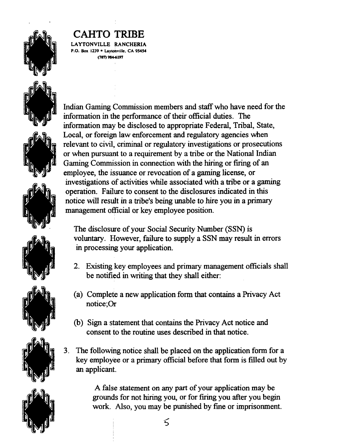

**LAYTONVILLE RANCHERIA P.O. Box 1239 Laytonvtlle. CA 95454 (707') 984-6197** 



Indian Gaming Commission members and staff who have need for the information in the performance of their official duties. The information may be disclosed to appropriate Federal, Tribal, State, Local, or foreign law enforcement and regulatory agencies when relevant to civd, criminal or regulatory investigations or prosecutions or when pursuant to a requirement by a tribe or the National Indian Gaming Commission in connection with the hiring or firing of an employee, the issuance or revocation of a gaming license, or investigations of activities while associated with a tribe or a gaming operation. Failure to consent to the disclosures indicated in this notice will result in a tribe's being unable to hire you in a primary management official or key employee position.

The disclosure of your Social Security Number (SSN) is voluntary. However, failure to supply a SSN may result in errors in processing your application.

- 2. Existing key employees and primary management officials shall be notified in writing that they shall either:
- (a) Complete a new application form that contains a Privacy Act notice; Or
- (b) Sign a statement that contains the Privacy Act notice and consent to the routine uses described in that notice.
- 3. The following notice shall be placed on the application form for a key employee or a primary official before that form is filled out by an applicant.

A false statement on any part of your application may be grounds for not hiring you, or for firing you after you begin work. Also, you may be punished by fine or imprisonment.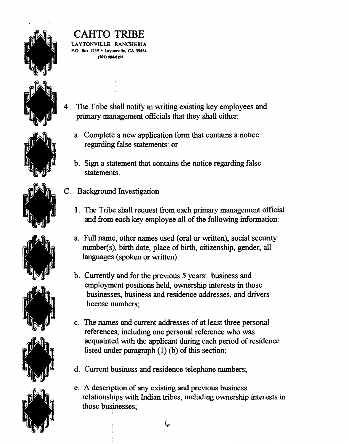

#### **CAHTO TRIBE**  LAYTONVILLE RANCHERIA

**P.O. Box 1239 · Laytonville, CA 95454 (707) 984-6197** 

- 4. The Tribe shall notify in writing existing key employees and primary management officials that they shall either:
	- a. Complete a new application form that contains a notice regarding false statements: or
	- b. Sign a statement that contains the notice regarding false statements.
- C. Background Investigation
	- 1. The Tribe shall request from each primary management official and fiom each key employee all of the following information:
	- a. Full name, other names used (oral or written), social security number(s), birth date, place of birth, citizenship, gender, all languages (spoken or written):
	- b. Currently and for the previous 5 years: business and employment positions held, ownership interests in those businesses, business and residence addresses, and drivers license numbers;
	- c. The names and current addresses of at least three personal references, including one personal reference who was acquainted with the applicant during each period of residence listed under paragraph (1) **(b)** of this section;
	- d. Current business and residence telephone numbers;
	- e. A description of any existing and previous business relationships with Indian tribes, includmg ownership interests in those businesses;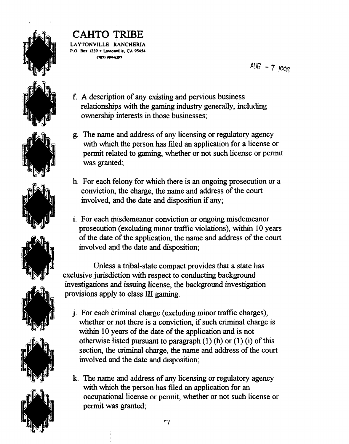

#### **CAHTO TRIBE LAYTONVILLE RANCHERIA P.O. Box I239 Laytom~lk. CA 9S454**

**tmn 984.6197** 

 $AUG - 71006$ 

- f. A description of any existing and pervious business relationships with the gaming industry generally, including ownership interests in those businesses;
- g. The name and address of any licensing or regulatory agency with which the person has filed an application for a license or permit related to gaming, whether or not such license or permit was granted;
- h. For each felony for which there is an ongoing prosecution or a conviction, the charge, the name and address of the court involved, and the date and disposition if any;
- i. For each misdemeanor conviction or ongoing misdemeanor prosecution (excluding minor traffic violations), within 10 years of the date of the application, the name and address of the court involved and the date and disposition;

Unless a tribal-state compact provides that a state has exclusive jurisdiction with respect to conducting background investigations and issuing license, the background investigation provisions apply to class **ID** gaming.

- **j.** For each criminal charge (excluding minor traffic charges), whether or not there is a conviction, if such criminal charge is within 10 years of the date of the application and is not otherwise listed pursuant to paragraph  $(1)$  (h) or  $(1)$  (i) of this section, the criminal charge, the name and address of the court involved and the date and disposition;
- k. The name and address of any licensing or regulatory agency with which the person has filed **an** application for an occupational license or permit, whether or not such license or permit was granted;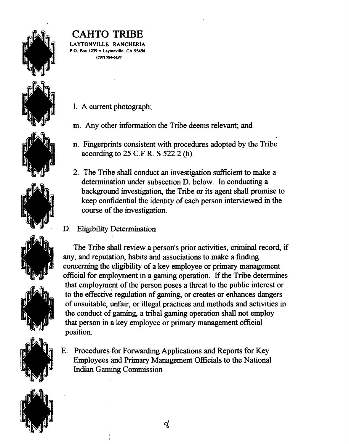

LAYTONVILLE **RANCHERlA P.O. Box 1239 Laymnvllle. CA 9549**  *cmn* **984-6197** 

- 1. A current photograph;
- m. Any other information the Tribe deems relevant; and
- n. Fingerprints consistent with procedures adopted by the Tribe according to *25* C.F.R. S *522.2* **(h).**
- 2. The Tribe shall conduct an investigation sufficient to make a determination under subsection D. below. In conducting a background investigation, the Tribe or its agent shall promise to keep confidential the identity of each person interviewed in the course of the investigation.
- D. Eligibility Determination

The Tribe shall review a person's prior activities, criminal record, if any, and reputation, habits and associations to make a finding concerning the eligibility of a key employee or primary management official for employment in a gaming operation. If the Tribe determines that employment of the person poses a threat to the public interest or to the effective regulation of **gaming,** or creates or enhances dangers of unsuitable, unfair, or illegal practices and methods and activities in the conduct of gaming, a tribal gaming operation shall not employ that person in a key employee or primary management official position.

E. Procedures for Forwarding Applications and Reports for Key Employees and Primary Management Officials to the National Indian Gaming Commission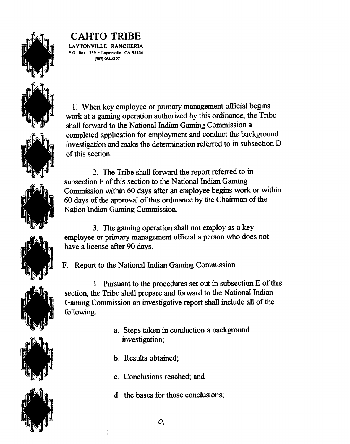

**LAYTONVILLE RANCHERIA P.O. Box 1239 · Laytonville, CA 95454 cm -191** 

1. When key employee or primary management official begins work at a **gaming** operation authorized by this ordinance, the Tribe shall forward to the National Indian Gaming Commission a completed application for employment and conduct the background investigation and make the determination referred to in subsection D of this section.

2. The Tribe shall forward the report referred to in subsection F of this section to the National **Indian** Gaming Commission **within** 60 days after an employee begins work or within 60 days of the approval of this ordinance by the Chairman of the Nation **Indian** Gaming Commission.

3. The gaming operation shall not employ as a key employee or primary management official a person who does not have a license after 90 days.

F. Report to the National **Indian** Gaming Commission

1. Pursuant to the procedures set out in subsection  $E$  of this section, the Tribe shall prepare and forward to the National **Indian**  Gaming Commission **an** investigative report shall include all of the following:

- a. Steps taken in conduction a background investigation;
- b. Results obtained;
- c. Conclusions reached; and
- d. the bases for those conclusions;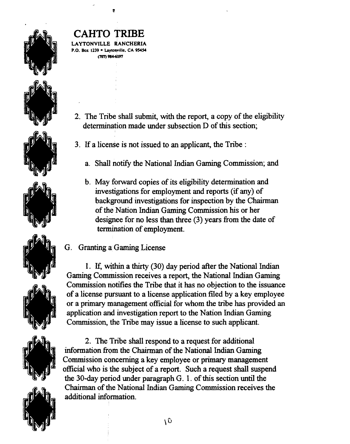

**CAHTO TRIBE LAYTONVILLE RANCHERlA** 

**P.O. Box 1239 • Lavtonville. CA 95454** c<sub>707</sub> 984-6197

- 2. The Tribe shall submit, with the report, a copy of the eligibility determination made under subsection D of this section;
- 3. If a license is not issued to an applicant, the Tribe :
	- a. Shall notify the National Indian Gaming Commission; and
	- b. May forward copies of its eligibility determination and investigations for employment and reports (if any) of background investigations for inspection by the Chairman of the Nation Indian Gaming Commission his or her designee for no less than three (3) years from the date of termination of employment.
- G. Granting a Gaming License

1. If, within a thirty (30) day period after the National Indian Gaming Commission receives a report, the National Indian Gaming Commission notifies the Tribe that it has no objection to the issuance of a license pursuant to a license application filed by a key employee or a primary management official for whom the tribe has provided an application and investigation report to the Nation Indian Gaming Commission, the Tribe may issue a license to such applicant.

2. The Tribe shall respond to a request for additional information from the Chairman of the National Indian Gaming Commission concerning a key employee or primary management official who is the subject of a report. Such a request shall suspend the 30-day period under paragraph G. 1. of this section until the Chairman of the National Indian Gaming Commission receives the additional information.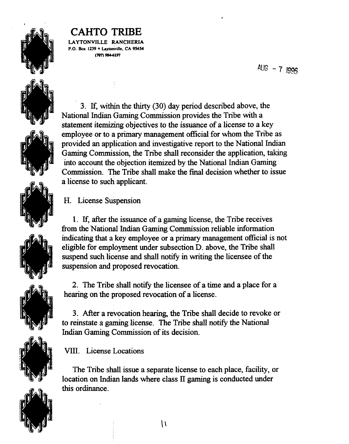

LAYTONVILLE RANCHERIA **P.O. Box 1239 hyton'ville, CA 9S4S4 tmn 984-6197** 

*BUG* - **<sup>7</sup>**



3. If, within the thirty (30) day period described above, the National Indian Gaming Commission provides the Tribe with a statement itemizing objectives to the issuance of a license to a key employee or to a primary management official for whom the Tribe as provided an application and investigative report to the National Indian Gaming Commission, the Tribe shall reconsider the application, taking into account the objection itemized by the National Indian Gaming Commission. The Tribe shall make the final decision whether to issue a license to such applicant.

H. License Suspension

1. If, after the issuance of a gaming license, the Tribe receives from the National Indian Gaming Commission reliable information indicating that a key employee or a primary management official is not eligible for employment under subsection D. above, the Tribe shall suspend such license and shall notify in writing the licensee of the suspension and proposed revocation.

2. The Tribe shall notify the licensee of a time and a place for a hearing on the proposed revocation of a license.

3. After a revocation hearing, the Tribe shall decide to revoke or to reinstate a gaming license. The Tribe shall notify the National Indian Gaming Commission of its decision.

VIII. License Locations

The Tribe shall issue a separate license to each place, facility, or location on Indian lands where class **IT** gaming is conducted under this ordinance.